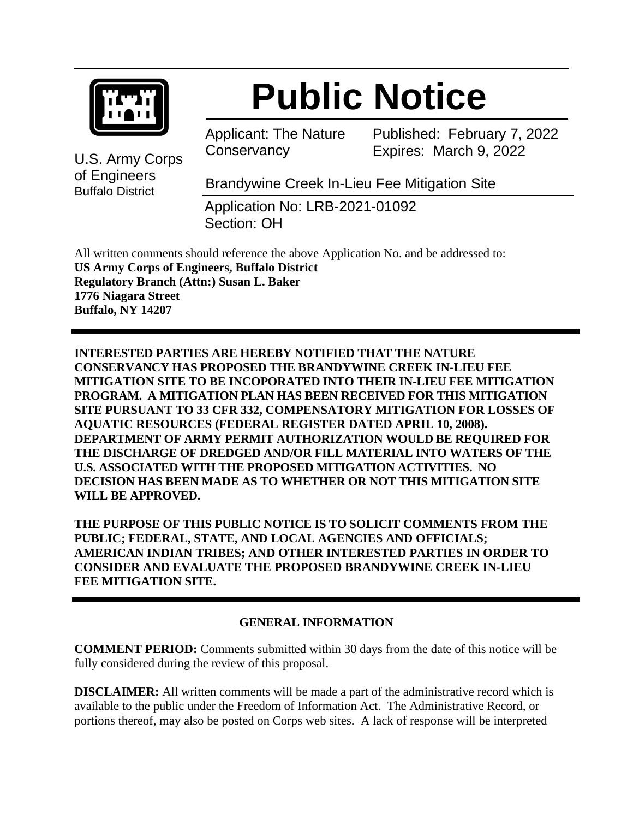

# **Public Notice**

Applicant: The Nature **Conservancy** 

Published: February 7, 2022 Expires: March 9, 2022

U.S. Army Corps of Engineers Buffalo District

Brandywine Creek In-Lieu Fee Mitigation Site

Application No: LRB-2021-01092 Section: OH

All written comments should reference the above Application No. and be addressed to: **US Army Corps of Engineers, Buffalo District Regulatory Branch (Attn:) Susan L. Baker 1776 Niagara Street Buffalo, NY 14207**

**INTERESTED PARTIES ARE HEREBY NOTIFIED THAT THE NATURE CONSERVANCY HAS PROPOSED THE BRANDYWINE CREEK IN-LIEU FEE MITIGATION SITE TO BE INCOPORATED INTO THEIR IN-LIEU FEE MITIGATION PROGRAM. A MITIGATION PLAN HAS BEEN RECEIVED FOR THIS MITIGATION SITE PURSUANT TO 33 CFR 332, COMPENSATORY MITIGATION FOR LOSSES OF AQUATIC RESOURCES (FEDERAL REGISTER DATED APRIL 10, 2008). DEPARTMENT OF ARMY PERMIT AUTHORIZATION WOULD BE REQUIRED FOR THE DISCHARGE OF DREDGED AND/OR FILL MATERIAL INTO WATERS OF THE U.S. ASSOCIATED WITH THE PROPOSED MITIGATION ACTIVITIES. NO DECISION HAS BEEN MADE AS TO WHETHER OR NOT THIS MITIGATION SITE WILL BE APPROVED.**

**THE PURPOSE OF THIS PUBLIC NOTICE IS TO SOLICIT COMMENTS FROM THE PUBLIC; FEDERAL, STATE, AND LOCAL AGENCIES AND OFFICIALS; AMERICAN INDIAN TRIBES; AND OTHER INTERESTED PARTIES IN ORDER TO CONSIDER AND EVALUATE THE PROPOSED BRANDYWINE CREEK IN-LIEU FEE MITIGATION SITE.**

## **GENERAL INFORMATION**

**COMMENT PERIOD:** Comments submitted within 30 days from the date of this notice will be fully considered during the review of this proposal.

**DISCLAIMER:** All written comments will be made a part of the administrative record which is available to the public under the Freedom of Information Act. The Administrative Record, or portions thereof, may also be posted on Corps web sites. A lack of response will be interpreted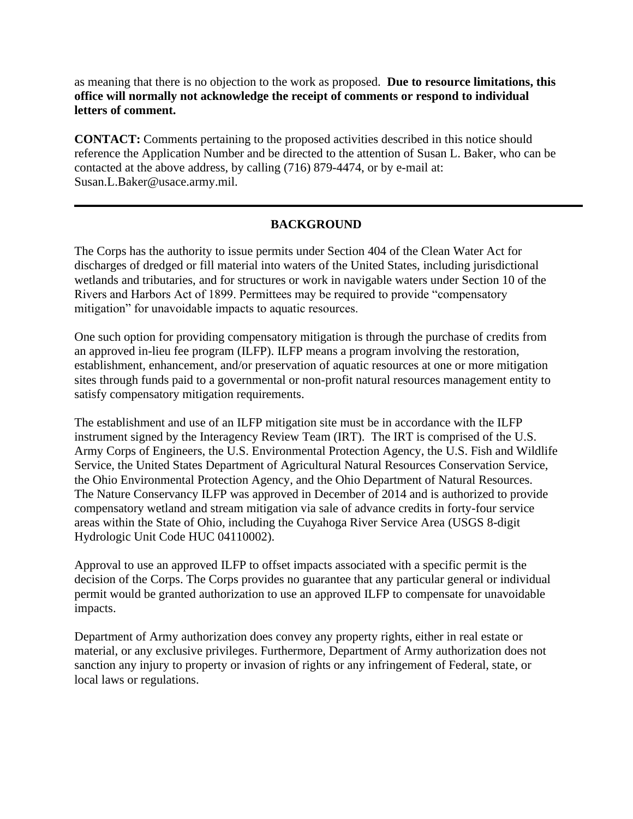as meaning that there is no objection to the work as proposed. **Due to resource limitations, this office will normally not acknowledge the receipt of comments or respond to individual letters of comment.**

**CONTACT:** Comments pertaining to the proposed activities described in this notice should reference the Application Number and be directed to the attention of Susan L. Baker, who can be contacted at the above address, by calling (716) 879-4474, or by e-mail at: Susan.L.Baker@usace.army.mil.

### **BACKGROUND**

The Corps has the authority to issue permits under Section 404 of the Clean Water Act for discharges of dredged or fill material into waters of the United States, including jurisdictional wetlands and tributaries, and for structures or work in navigable waters under Section 10 of the Rivers and Harbors Act of 1899. Permittees may be required to provide "compensatory mitigation" for unavoidable impacts to aquatic resources.

One such option for providing compensatory mitigation is through the purchase of credits from an approved in-lieu fee program (ILFP). ILFP means a program involving the restoration, establishment, enhancement, and/or preservation of aquatic resources at one or more mitigation sites through funds paid to a governmental or non-profit natural resources management entity to satisfy compensatory mitigation requirements.

The establishment and use of an ILFP mitigation site must be in accordance with the ILFP instrument signed by the Interagency Review Team (IRT). The IRT is comprised of the U.S. Army Corps of Engineers, the U.S. Environmental Protection Agency, the U.S. Fish and Wildlife Service, the United States Department of Agricultural Natural Resources Conservation Service, the Ohio Environmental Protection Agency, and the Ohio Department of Natural Resources. The Nature Conservancy ILFP was approved in December of 2014 and is authorized to provide compensatory wetland and stream mitigation via sale of advance credits in forty-four service areas within the State of Ohio, including the Cuyahoga River Service Area (USGS 8-digit Hydrologic Unit Code HUC 04110002).

Approval to use an approved ILFP to offset impacts associated with a specific permit is the decision of the Corps. The Corps provides no guarantee that any particular general or individual permit would be granted authorization to use an approved ILFP to compensate for unavoidable impacts.

Department of Army authorization does convey any property rights, either in real estate or material, or any exclusive privileges. Furthermore, Department of Army authorization does not sanction any injury to property or invasion of rights or any infringement of Federal, state, or local laws or regulations.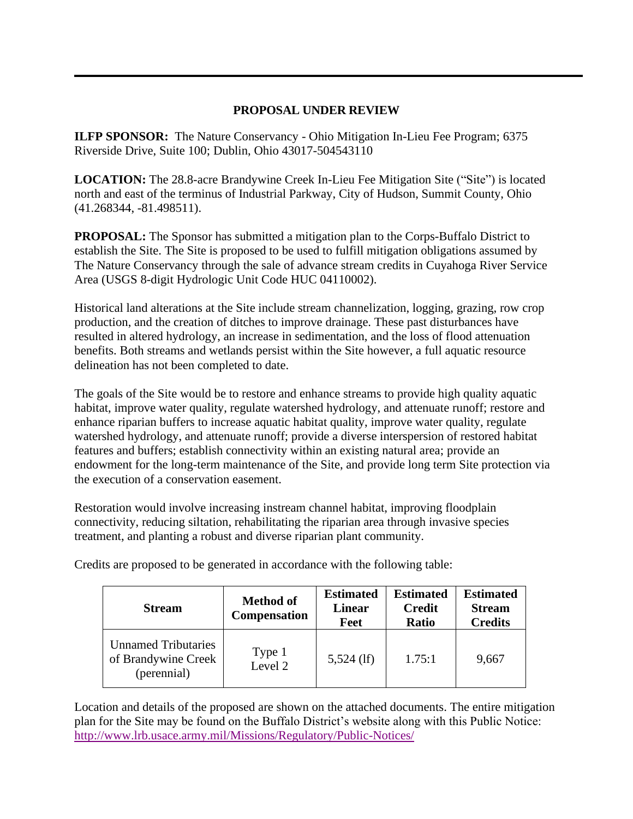#### **PROPOSAL UNDER REVIEW**

**ILFP SPONSOR:** The Nature Conservancy - Ohio Mitigation In-Lieu Fee Program; 6375 Riverside Drive, Suite 100; Dublin, Ohio 43017-504543110

**LOCATION:** The 28.8-acre Brandywine Creek In-Lieu Fee Mitigation Site ("Site") is located north and east of the terminus of Industrial Parkway, City of Hudson, Summit County, Ohio (41.268344, -81.498511).

**PROPOSAL:** The Sponsor has submitted a mitigation plan to the Corps-Buffalo District to establish the Site. The Site is proposed to be used to fulfill mitigation obligations assumed by The Nature Conservancy through the sale of advance stream credits in Cuyahoga River Service Area (USGS 8-digit Hydrologic Unit Code HUC 04110002).

Historical land alterations at the Site include stream channelization, logging, grazing, row crop production, and the creation of ditches to improve drainage. These past disturbances have resulted in altered hydrology, an increase in sedimentation, and the loss of flood attenuation benefits. Both streams and wetlands persist within the Site however, a full aquatic resource delineation has not been completed to date.

The goals of the Site would be to restore and enhance streams to provide high quality aquatic habitat, improve water quality, regulate watershed hydrology, and attenuate runoff; restore and enhance riparian buffers to increase aquatic habitat quality, improve water quality, regulate watershed hydrology, and attenuate runoff; provide a diverse interspersion of restored habitat features and buffers; establish connectivity within an existing natural area; provide an endowment for the long-term maintenance of the Site, and provide long term Site protection via the execution of a conservation easement.

Restoration would involve increasing instream channel habitat, improving floodplain connectivity, reducing siltation, rehabilitating the riparian area through invasive species treatment, and planting a robust and diverse riparian plant community.

| <b>Stream</b>                                                    | <b>Method of</b><br><b>Compensation</b> | <b>Estimated</b><br><b>Linear</b><br>Feet | <b>Estimated</b><br><b>Credit</b><br>Ratio | <b>Estimated</b><br><b>Stream</b><br><b>Credits</b> |
|------------------------------------------------------------------|-----------------------------------------|-------------------------------------------|--------------------------------------------|-----------------------------------------------------|
| <b>Unnamed Tributaries</b><br>of Brandywine Creek<br>(perennial) | Type 1<br>Level 2                       | $5,524$ (lf)                              | 1.75:1                                     | 9,667                                               |

Credits are proposed to be generated in accordance with the following table:

Location and details of the proposed are shown on the attached documents. The entire mitigation plan for the Site may be found on the Buffalo District's website along with this Public Notice: <http://www.lrb.usace.army.mil/Missions/Regulatory/Public-Notices/>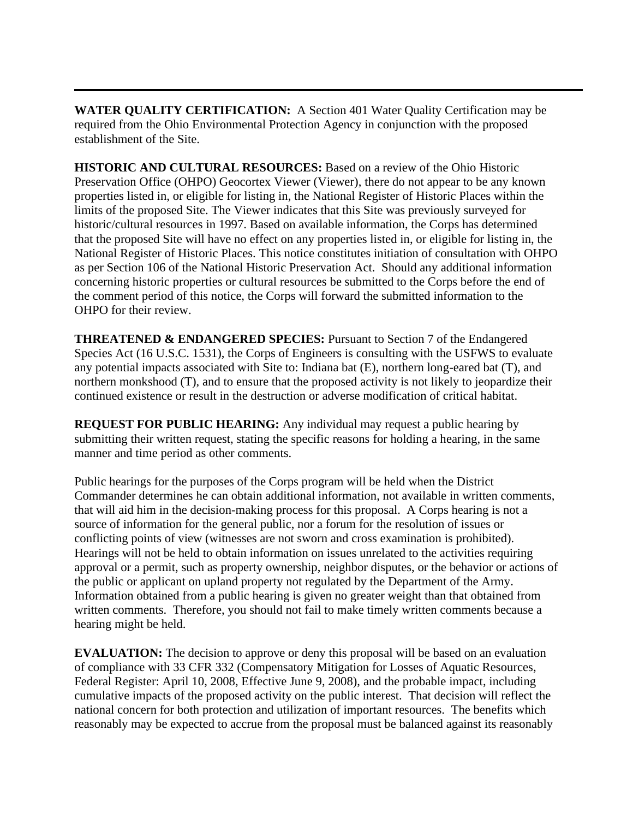**WATER QUALITY CERTIFICATION:** A Section 401 Water Quality Certification may be required from the Ohio Environmental Protection Agency in conjunction with the proposed establishment of the Site.

**HISTORIC AND CULTURAL RESOURCES:** Based on a review of the Ohio Historic Preservation Office (OHPO) Geocortex Viewer (Viewer), there do not appear to be any known properties listed in, or eligible for listing in, the National Register of Historic Places within the limits of the proposed Site. The Viewer indicates that this Site was previously surveyed for historic/cultural resources in 1997. Based on available information, the Corps has determined that the proposed Site will have no effect on any properties listed in, or eligible for listing in, the National Register of Historic Places. This notice constitutes initiation of consultation with OHPO as per Section 106 of the National Historic Preservation Act. Should any additional information concerning historic properties or cultural resources be submitted to the Corps before the end of the comment period of this notice, the Corps will forward the submitted information to the OHPO for their review.

**THREATENED & ENDANGERED SPECIES:** Pursuant to Section 7 of the Endangered Species Act (16 U.S.C. 1531), the Corps of Engineers is consulting with the USFWS to evaluate any potential impacts associated with Site to: Indiana bat (E), northern long-eared bat (T), and northern monkshood (T), and to ensure that the proposed activity is not likely to jeopardize their continued existence or result in the destruction or adverse modification of critical habitat.

**REQUEST FOR PUBLIC HEARING:** Any individual may request a public hearing by submitting their written request, stating the specific reasons for holding a hearing, in the same manner and time period as other comments.

Public hearings for the purposes of the Corps program will be held when the District Commander determines he can obtain additional information, not available in written comments, that will aid him in the decision-making process for this proposal. A Corps hearing is not a source of information for the general public, nor a forum for the resolution of issues or conflicting points of view (witnesses are not sworn and cross examination is prohibited). Hearings will not be held to obtain information on issues unrelated to the activities requiring approval or a permit, such as property ownership, neighbor disputes, or the behavior or actions of the public or applicant on upland property not regulated by the Department of the Army. Information obtained from a public hearing is given no greater weight than that obtained from written comments. Therefore, you should not fail to make timely written comments because a hearing might be held.

**EVALUATION:** The decision to approve or deny this proposal will be based on an evaluation of compliance with 33 CFR 332 (Compensatory Mitigation for Losses of Aquatic Resources, Federal Register: April 10, 2008, Effective June 9, 2008), and the probable impact, including cumulative impacts of the proposed activity on the public interest. That decision will reflect the national concern for both protection and utilization of important resources. The benefits which reasonably may be expected to accrue from the proposal must be balanced against its reasonably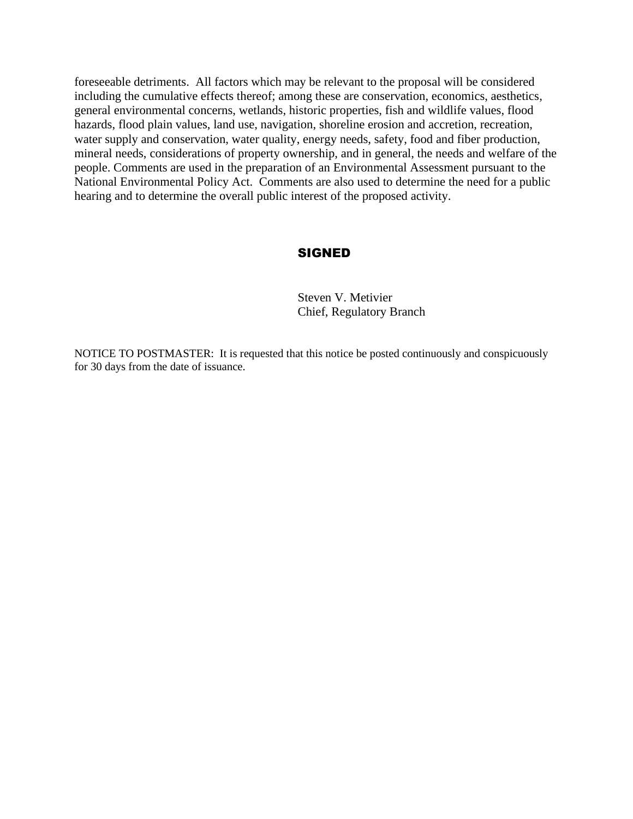foreseeable detriments. All factors which may be relevant to the proposal will be considered including the cumulative effects thereof; among these are conservation, economics, aesthetics, general environmental concerns, wetlands, historic properties, fish and wildlife values, flood hazards, flood plain values, land use, navigation, shoreline erosion and accretion, recreation, water supply and conservation, water quality, energy needs, safety, food and fiber production, mineral needs, considerations of property ownership, and in general, the needs and welfare of the people. Comments are used in the preparation of an Environmental Assessment pursuant to the National Environmental Policy Act. Comments are also used to determine the need for a public hearing and to determine the overall public interest of the proposed activity.

#### SIGNED

Steven V. Metivier Chief, Regulatory Branch

NOTICE TO POSTMASTER: It is requested that this notice be posted continuously and conspicuously for 30 days from the date of issuance.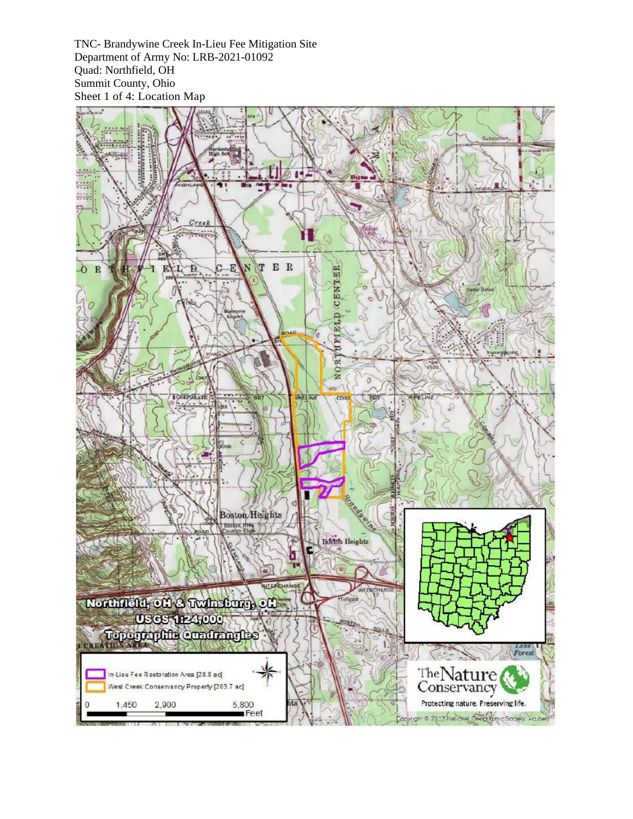TNC- Brandywine Creek In-Lieu Fee Mitigation Site Department of Army No: LRB-2021-01092 Quad: Northfield, OH Summit County, Ohio Sheet 1 of 4: Location Map

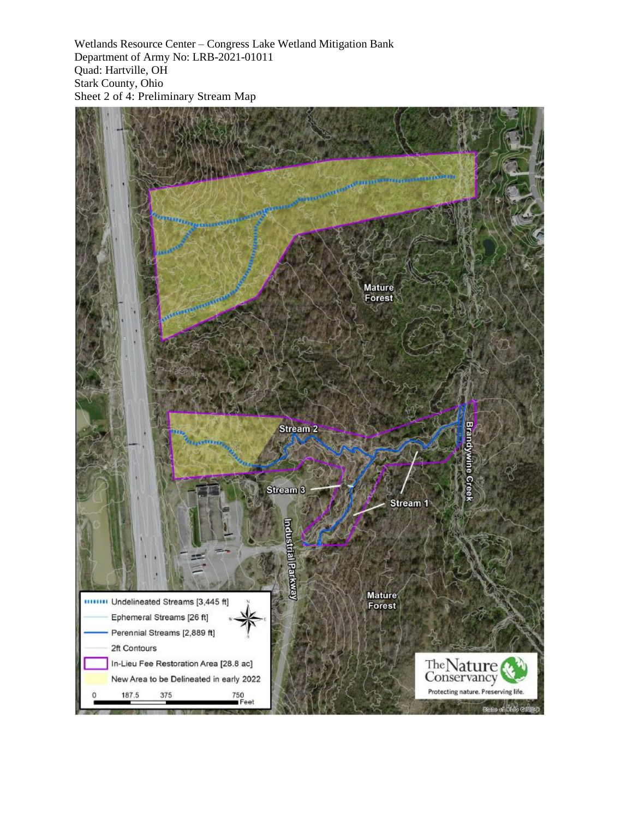Wetlands Resource Center – Congress Lake Wetland Mitigation Bank Department of Army No: LRB-2021-01011 Quad: Hartville, OH Stark County, Ohio Sheet 2 of 4: Preliminary Stream Map

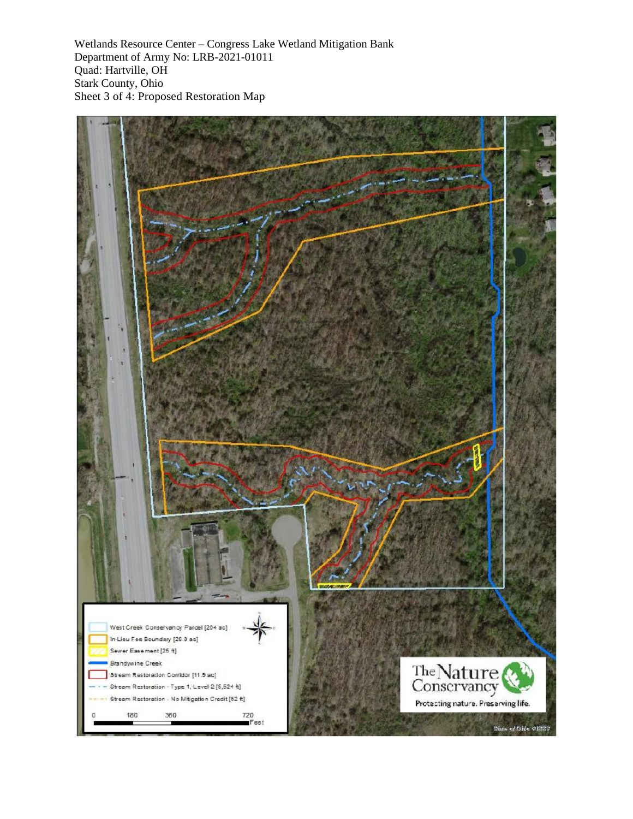Wetlands Resource Center – Congress Lake Wetland Mitigation Bank Department of Army No: LRB-2021-01011 Quad: Hartville, OH Stark County, Ohio Sheet 3 of 4: Proposed Restoration Map